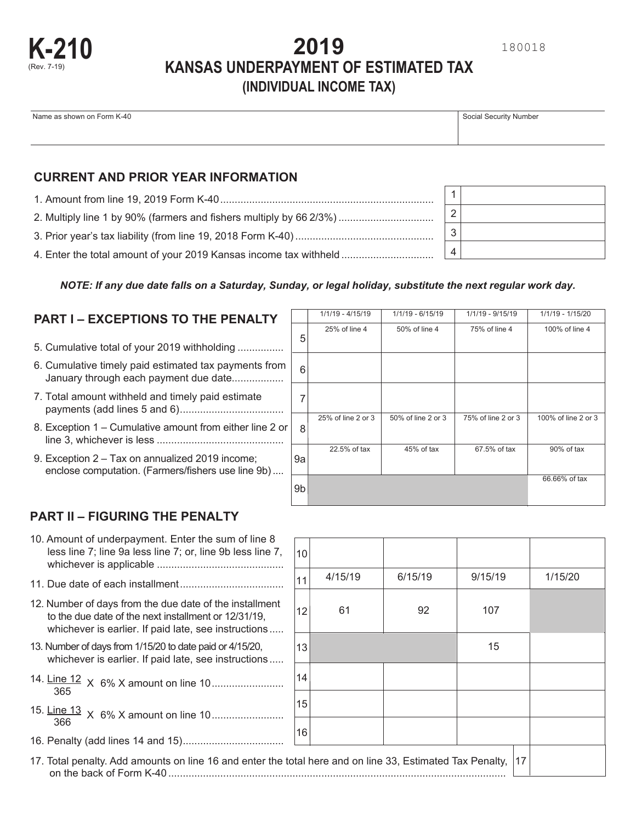

# **2019 KANSAS UNDERPAYMENT OF ESTIMATED TAX (INDIVIDUAL INCOME TAX)**

| Name as shown on Form K-40 | Social Security Number |
|----------------------------|------------------------|
|                            |                        |
|                            |                        |

### **CURRENT AND PRIOR YEAR INFORMATION**

**K-210**

(Rev. 7-19)

| 2. Multiply line 1 by 90% (farmers and fishers multiply by 66 2/3%) |
|---------------------------------------------------------------------|
|                                                                     |
|                                                                     |

*NOTE: If any due date falls on a Saturday, Sunday, or legal holiday, substitute the next regular work day.*

# **PART I – EXCEPTIONS TO THE PENALTY**  $\boxed{111/19 - 4/15/19}$  1/1/19 - 6/15/19 1/1/19 - 9/15/19 1/1/19 - 1/15/20

- ................ 5. Cumulative total of your 2019 withholding
- January through each payment due date................. 6. Cumulative timely paid estimated tax payments from
- .................................... payments (add lines 5 and 6) 7. Total amount withheld and timely paid estimate
- ............................................ line 3, whichever is less 8. Exception 1 – Cumulative amount from either line 2 or
- .... enclose computation. (Farmers/fishers use line 9b) 9. Exception 2 – Tax on annualized 2019 income;

| 5  | 25% of line 4      | 50% of line 4      | 75% of line 4      | 100% of line 4      |
|----|--------------------|--------------------|--------------------|---------------------|
| 6  |                    |                    |                    |                     |
|    |                    |                    |                    |                     |
| 8  | 25% of line 2 or 3 | 50% of line 2 or 3 | 75% of line 2 or 3 | 100% of line 2 or 3 |
| 9а | 22.5% of tax       | 45% of tax         | 67.5% of tax       | 90% of tax          |
| 9b |                    |                    |                    | 66.66% of tax       |

## **PART II – FIGURING THE PENALTY**

| 10. Amount of underpayment. Enter the sum of line 8        |
|------------------------------------------------------------|
| less line 7; line 9a less line 7; or, line 9b less line 7, |
|                                                            |
|                                                            |

- 
- ..... whichever is earlier. If paid late, see instructions 12. Number of days from the due date of the installment to the due date of the next installment or 12/31/19,
- ..... whichever is earlier. If paid late, see instructions 13. Number of days from 1/15/20 to date paid or 4/15/20,
- 14.  $\frac{\text{Line 12}}{\text{QSE}}$  X 6% X amount on line 10........................... 365
- ......................... 15. Line 13 X 6% X amount on line 10 <sup>36</sup><sup>6</sup>
- ................................... 16. Penalty (add lines 14 and 15)

| TO. AMOUNT OF UNIQUIPAYMENT. ENTER THE SUIN OF THE 6<br>less line 7; line 9a less line 7; or, line 9b less line 7,                                                      | 10 |         |         |         |         |
|-------------------------------------------------------------------------------------------------------------------------------------------------------------------------|----|---------|---------|---------|---------|
|                                                                                                                                                                         |    | 4/15/19 | 6/15/19 | 9/15/19 | 1/15/20 |
| 12. Number of days from the due date of the installment<br>to the due date of the next installment or 12/31/19,<br>whichever is earlier. If paid late, see instructions | 12 | 61      | 92      | 107     |         |
| 13. Number of days from 1/15/20 to date paid or 4/15/20,<br>whichever is earlier. If paid late, see instructions                                                        | 13 |         |         | 15      |         |
| 14. Line 12 x 6% x amount on line 10<br>365                                                                                                                             | 14 |         |         |         |         |
|                                                                                                                                                                         | 15 |         |         |         |         |
| 366                                                                                                                                                                     | 16 |         |         |         |         |
| 17. Total penalty. Add amounts on line 16 and enter the total here and on line 33, Estimated Tax Penalty,<br>$ 17\rangle$                                               |    |         |         |         |         |

17. Total penalty. Add amounts on line 16 and enter the to on the back of Form K-40 .....................................................................................................................